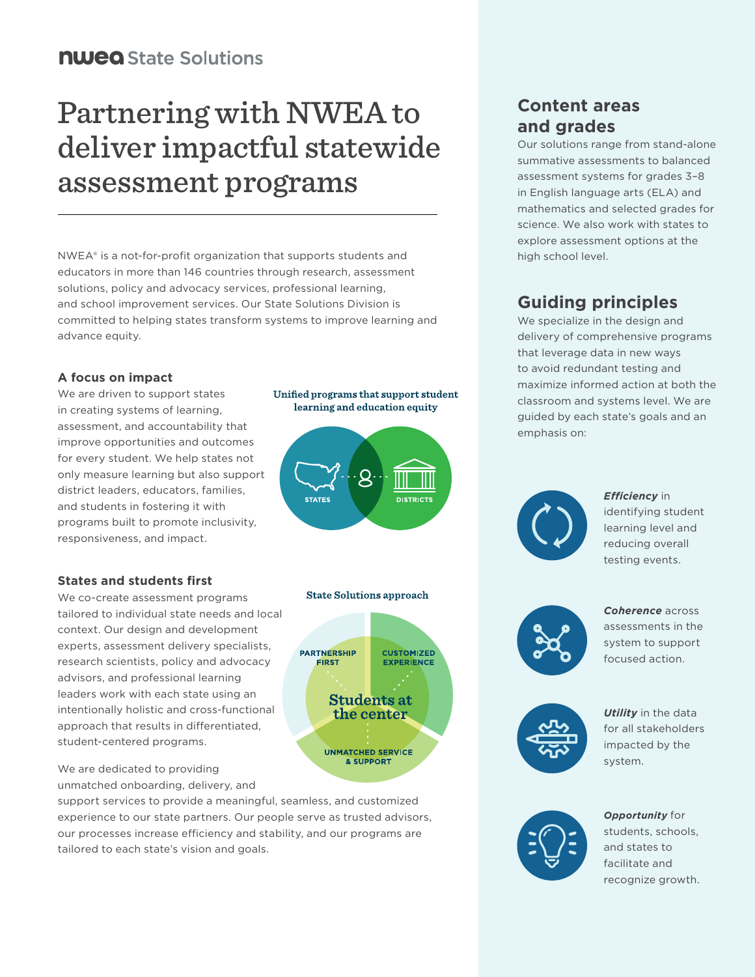# Partnering with NWEA to deliver impactful statewide assessment programs

NWEA® is a not-for-profit organization that supports students and educators in more than 146 countries through research, assessment solutions, policy and advocacy services, professional learning, and school improvement services. Our State Solutions Division is committed to helping states transform systems to improve learning and advance equity.

### **A focus on impact**

We are driven to support states in creating systems of learning, assessment, and accountability that improve opportunities and outcomes for every student. We help states not only measure learning but also support district leaders, educators, families, and students in fostering it with programs built to promote inclusivity, responsiveness, and impact.

### **States and students first**

We co-create assessment programs tailored to individual state needs and local context. Our design and development experts, assessment delivery specialists, research scientists, policy and advocacy advisors, and professional learning leaders work with each state using an intentionally holistic and cross-functional approach that results in differentiated, student-centered programs.

We are dedicated to providing unmatched onboarding, delivery, and

support services to provide a meaningful, seamless, and customized experience to our state partners. Our people serve as trusted advisors, our processes increase efficiency and stability, and our programs are tailored to each state's vision and goals.

### Unified programs that support student learning and education equity

**STATES DISTRICTS** 

### **State Solutions approach**



### **Content areas and grades**

Our solutions range from stand-alone summative assessments to balanced assessment systems for grades 3–8 in English language arts (ELA) and mathematics and selected grades for science. We also work with states to explore assessment options at the high school level.

### **Guiding principles**

We specialize in the design and delivery of comprehensive programs that leverage data in new ways to avoid redundant testing and maximize informed action at both the classroom and systems level. We are guided by each state's goals and an emphasis on:



*Efficiency* in identifying student learning level and reducing overall testing events.



*Coherence* across assessments in the system to support focused action.



*Utility* in the data for all stakeholders impacted by the system.



*Opportunity* for students, schools, and states to facilitate and recognize growth.